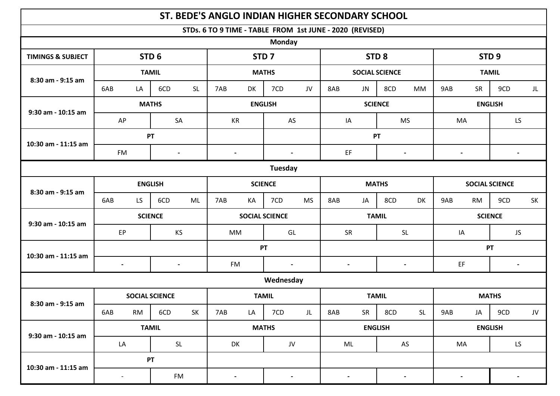|                              |                          |                  | ST. BEDE'S ANGLO INDIAN HIGHER SECONDARY SCHOOL |                       |                |                |                |                                                          |            |                |                                             |                  |                          |                          |                |
|------------------------------|--------------------------|------------------|-------------------------------------------------|-----------------------|----------------|----------------|----------------|----------------------------------------------------------|------------|----------------|---------------------------------------------|------------------|--------------------------|--------------------------|----------------|
|                              |                          |                  |                                                 |                       |                |                |                | STDs. 6 TO 9 TIME - TABLE FROM 1st JUNE - 2020 (REVISED) |            |                |                                             |                  |                          |                          |                |
|                              |                          |                  |                                                 |                       |                | <b>Monday</b>  |                |                                                          |            |                |                                             |                  |                          |                          |                |
| <b>TIMINGS &amp; SUBJECT</b> |                          | STD <sub>6</sub> |                                                 | STD <sub>7</sub>      |                |                |                | STD <sub>8</sub>                                         |            |                |                                             | STD <sub>9</sub> |                          |                          |                |
| 8:30 am - 9:15 am            | <b>TAMIL</b>             |                  |                                                 | <b>MATHS</b>          |                |                |                | <b>SOCIAL SCIENCE</b>                                    |            |                |                                             | <b>TAMIL</b>     |                          |                          |                |
|                              | 6AB<br>LA                | 6CD              | <b>SL</b>                                       | 7AB                   | DK             | 7CD            | JV             | 8AB                                                      | <b>JN</b>  | 8CD            | <b>MM</b>                                   | 9AB              | SR                       | 9CD                      | JL             |
| 9:30 am - 10:15 am           | <b>MATHS</b>             |                  |                                                 | <b>ENGLISH</b>        |                |                | <b>SCIENCE</b> |                                                          |            |                | <b>ENGLISH</b>                              |                  |                          |                          |                |
|                              | AP                       |                  | SA                                              |                       | KR             |                | AS             |                                                          | IA         |                | <b>MS</b>                                   |                  | MA                       |                          | LS             |
| 10:30 am - 11:15 am          | PT                       |                  |                                                 |                       |                |                | PT             |                                                          |            |                |                                             |                  |                          |                          |                |
|                              | <b>FM</b>                |                  | $\blacksquare$                                  |                       | $\blacksquare$ |                | $\blacksquare$ |                                                          | EF         |                | $\overline{\phantom{a}}$                    |                  | $\overline{\phantom{a}}$ |                          | $\blacksquare$ |
|                              |                          |                  |                                                 |                       |                | Tuesday        |                |                                                          |            |                |                                             |                  |                          |                          |                |
| 8:30 am - 9:15 am            | <b>ENGLISH</b>           |                  |                                                 | <b>SCIENCE</b>        |                |                | <b>MATHS</b>   |                                                          |            |                | <b>SOCIAL SCIENCE</b>                       |                  |                          |                          |                |
|                              | LS<br>6AB                | 6CD              | ML                                              | 7AB                   | KA             | 7CD            | <b>MS</b>      | 8AB                                                      | JA         | 8CD            | <b>DK</b>                                   | 9AB              | <b>RM</b>                | 9CD                      | SK             |
| 9:30 am - 10:15 am           | <b>SCIENCE</b>           |                  |                                                 | <b>SOCIAL SCIENCE</b> |                |                | <b>TAMIL</b>   |                                                          |            |                | <b>SCIENCE</b>                              |                  |                          |                          |                |
|                              | EP                       |                  | KS                                              |                       | <b>MM</b>      |                | GL             |                                                          | SR         |                | <b>SL</b>                                   |                  | IA                       |                          | JS             |
|                              |                          |                  |                                                 | PT                    |                |                |                |                                                          |            |                | PT                                          |                  |                          |                          |                |
| 10:30 am - 11:15 am          | $\blacksquare$           |                  | <b>FM</b><br>$\blacksquare$                     |                       |                | $\blacksquare$ |                | $\blacksquare$                                           |            | $\blacksquare$ |                                             | EF               |                          | $\overline{\phantom{a}}$ |                |
|                              |                          |                  |                                                 |                       |                | Wednesday      |                |                                                          |            |                |                                             |                  |                          |                          |                |
| 8:30 am - 9:15 am            | <b>SOCIAL SCIENCE</b>    |                  |                                                 | <b>TAMIL</b>          |                |                | <b>TAMIL</b>   |                                                          |            |                | <b>MATHS</b>                                |                  |                          |                          |                |
|                              | 6AB<br><b>RM</b>         | 6CD              | SK                                              | 7AB                   | LA             | 7CD            | JL             | 8AB                                                      | ${\sf SR}$ | 8CD            | $\mathsf{SL}% _{2}\left( \mathbb{Z}\right)$ | 9AB              | JA                       | 9CD                      | JV             |
| 9:30 am - 10:15 am           | <b>TAMIL</b>             |                  |                                                 | <b>MATHS</b>          |                |                | <b>ENGLISH</b> |                                                          |            |                | <b>ENGLISH</b>                              |                  |                          |                          |                |
|                              | LA                       |                  | $\mathsf{SL}% _{2}\left( \mathbb{Z}\right)$     |                       | DK             |                | JV             |                                                          | ML         |                | AS                                          |                  | MA                       |                          | LS             |
| 10:30 am - 11:15 am          | PT                       |                  |                                                 |                       |                |                |                |                                                          |            |                |                                             |                  |                          |                          |                |
|                              | $\overline{\phantom{0}}$ |                  | FM                                              |                       |                |                |                |                                                          |            |                |                                             |                  |                          |                          |                |